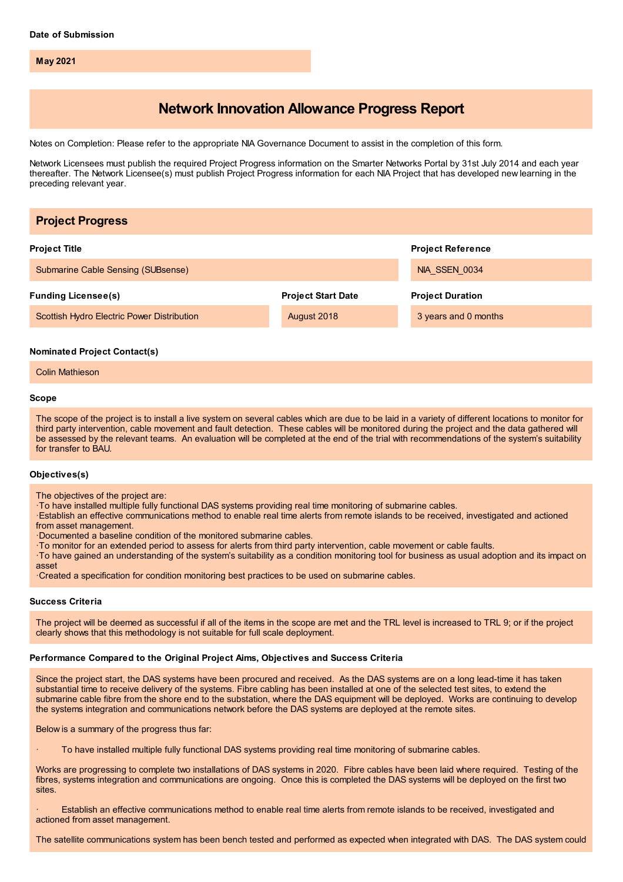**May 2021**

# **Network Innovation Allowance Progress Report**

Notes on Completion: Please refer to the appropriate NIA Governance Document to assist in the completion of this form.

Network Licensees must publish the required Project Progress information on the Smarter Networks Portal by 31st July 2014 and each year thereafter. The Network Licensee(s) must publish Project Progress information for each NIA Project that has developed new learning in the preceding relevant year.

| <b>Project Progress</b>                    |                           |                          |
|--------------------------------------------|---------------------------|--------------------------|
| <b>Project Title</b>                       |                           | <b>Project Reference</b> |
| Submarine Cable Sensing (SUBsense)         |                           | NIA SSEN 0034            |
| <b>Funding Licensee(s)</b>                 | <b>Project Start Date</b> | <b>Project Duration</b>  |
| Scottish Hydro Electric Power Distribution | August 2018               | 3 years and 0 months     |
| <b>Nominated Project Contact(s)</b>        |                           |                          |

Colin Mathieson

#### **Scope**

The scope of the project is to install a live system on several cables which are due to be laid in a variety of different locations to monitor for third party intervention, cable movement and fault detection. These cables will be monitored during the project and the data gathered will be assessed by the relevant teams. An evaluation will be completed at the end of the trial with recommendations of the system's suitability for transfer to BAU.

## **Objectives(s)**

The objectives of the project are:

·To have installed multiple fully functional DAS systems providing real time monitoring of submarine cables.

·Establish an effective communications method to enable real time alerts from remote islands to be received, investigated and actioned from asset management.

- ·Documented a baseline condition of the monitored submarine cables.
- ·To monitor for an extended period to assess for alerts from third party intervention, cable movement or cable faults.

·To have gained an understanding of the system's suitability as a condition monitoring tool for business as usual adoption and its impact on asset

·Created a specification for condition monitoring best practices to be used on submarine cables.

#### **Success Criteria**

The project will be deemed as successful if all of the items in the scope are met and the TRL level is increased to TRL 9; or if the project clearly shows that this methodology is not suitable for full scale deployment.

#### **Performance Compared to the Original Project Aims, Objectives and Success Criteria**

Since the project start, the DAS systems have been procured and received. As the DAS systems are on a long lead-time it has taken substantial time to receive delivery of the systems. Fibre cabling has been installed at one of the selected test sites, to extend the submarine cable fibre from the shore end to the substation, where the DAS equipment will be deployed. Works are continuing to develop the systems integration and communications network before the DAS systems are deployed at the remote sites.

Below is a summary of the progress thus far:

· To have installed multiple fully functional DAS systems providing real time monitoring of submarine cables.

Works are progressing to complete two installations of DAS systems in 2020. Fibre cables have been laid where required. Testing of the fibres, systems integration and communications are ongoing. Once this is completed the DAS systems will be deployed on the first two sites.

Establish an effective communications method to enable real time alerts from remote islands to be received, investigated and actioned from asset management.

The satellite communications system has been bench tested and performed as expected when integrated with DAS. The DAS system could